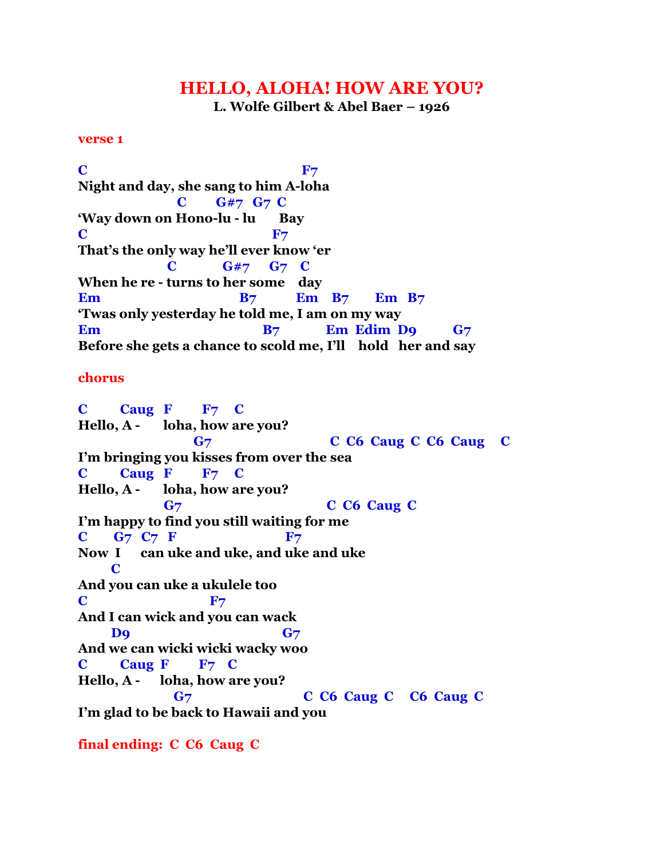## **HELLO, ALOHA! HOW ARE YOU?**

**L. Wolfe Gilbert & Abel Baer – 1926**

## **verse 1**

 $\mathbf{C}$  **F7 Night and day, she sang to him A-loha C G#7 G7 C 'Way down on Hono-lu - lu Bay C** F<sub>7</sub> **That's the only way he'll ever know 'er C G#7 G7 C When he re - turns to her some day Em B7 Em B7 Em B7 'Twas only yesterday he told me, I am on my way Em B7** Em Edim D9 G7 **Before she gets a chance to scold me, I'll hold her and say**

## **chorus**

**C Caug F F7 C Hello, A - loha, how are you? G7 C C6 Caug C C6 Caug C I'm bringing you kisses from over the sea C Caug F F7 C Hello, A - loha, how are you? G7 C C6 Caug C I'm happy to find you still waiting for me C G7 C7 F F7 Now I can uke and uke, and uke and uke C And you can uke a ukulele too C** F<sub>7</sub> **And I can wick and you can wack D9 G**7 **And we can wicki wicki wacky woo C Caug F F7 C Hello, A - loha, how are you? G7 C C6 Caug C C6 Caug C I'm glad to be back to Hawaii and you**

**final ending: C C6 Caug C**